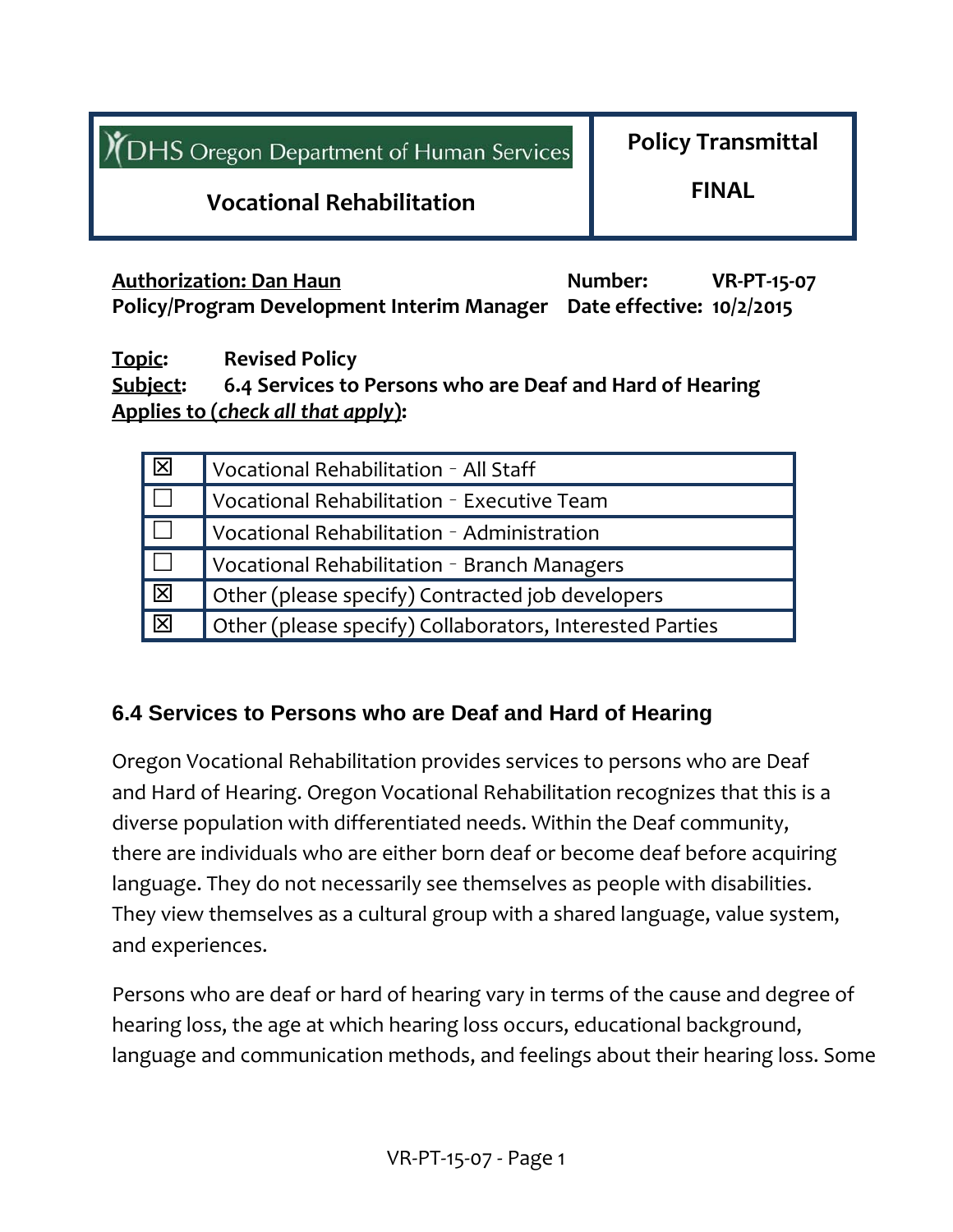| <b>I</b> (DHS Oregon Department of Human Services | <b>Policy Transmittal</b> |  |  |
|---------------------------------------------------|---------------------------|--|--|
| <b>Vocational Rehabilitation</b>                  | <b>FINAL</b>              |  |  |
|                                                   |                           |  |  |

**Authorization: Dan Haun Number: VR‐PT‐15‐07 Policy/Program Development Interim Manager Date effective: 10/2/2015**

**Topic: Revised Policy Subject: 6.4 Services to Persons who are Deaf and Hard of Hearing Applies to (***check all that apply***):**

| $\overline{\mathbf{z}}$ | Vocational Rehabilitation - All Staff                    |  |
|-------------------------|----------------------------------------------------------|--|
| $\Box$                  | Vocational Rehabilitation - Executive Team               |  |
|                         | Vocational Rehabilitation - Administration               |  |
| $\mathbf{L}$            | Vocational Rehabilitation - Branch Managers              |  |
| $\overline{\Xi}$        | Other (please specify) Contracted job developers         |  |
| $\overline{\mathbf{Z}}$ | Other (please specify) Collaborators, Interested Parties |  |

#### **6.4 Services to Persons who are Deaf and Hard of Hearing**

Oregon Vocational Rehabilitation provides services to persons who are Deaf and Hard of Hearing. Oregon Vocational Rehabilitation recognizes that this is a diverse population with differentiated needs. Within the Deaf community, there are individuals who are either born deaf or become deaf before acquiring language. They do not necessarily see themselves as people with disabilities. They view themselves as a cultural group with a shared language, value system, and experiences.

Persons who are deaf or hard of hearing vary in terms of the cause and degree of hearing loss, the age at which hearing loss occurs, educational background, language and communication methods, and feelings about their hearing loss. Some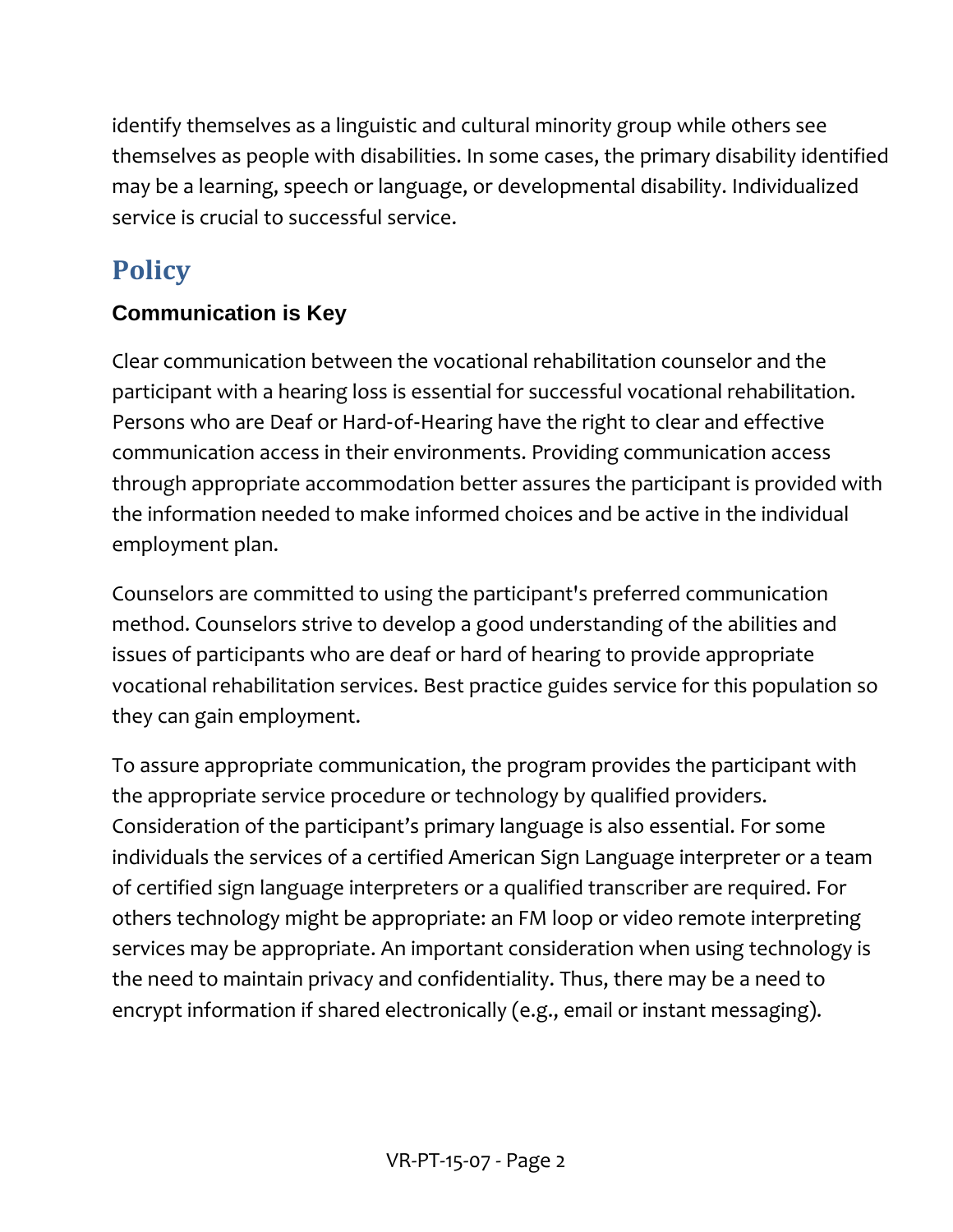identify themselves as a linguistic and cultural minority group while others see themselves as people with disabilities. In some cases, the primary disability identified may be a learning, speech or language, or developmental disability. Individualized service is crucial to successful service.

# **Policy**

# **Communication is Key**

Clear communication between the vocational rehabilitation counselor and the participant with a hearing loss is essential for successful vocational rehabilitation. Persons who are Deaf or Hard‐of‐Hearing have the right to clear and effective communication access in their environments. Providing communication access through appropriate accommodation better assures the participant is provided with the information needed to make informed choices and be active in the individual employment plan.

Counselors are committed to using the participant's preferred communication method. Counselors strive to develop a good understanding of the abilities and issues of participants who are deaf or hard of hearing to provide appropriate vocational rehabilitation services. Best practice guides service for this population so they can gain employment.

To assure appropriate communication, the program provides the participant with the appropriate service procedure or technology by qualified providers. Consideration of the participant's primary language is also essential. For some individuals the services of a certified American Sign Language interpreter or a team of certified sign language interpreters or a qualified transcriber are required. For others technology might be appropriate: an FM loop or video remote interpreting services may be appropriate. An important consideration when using technology is the need to maintain privacy and confidentiality. Thus, there may be a need to encrypt information if shared electronically (e.g., email or instant messaging).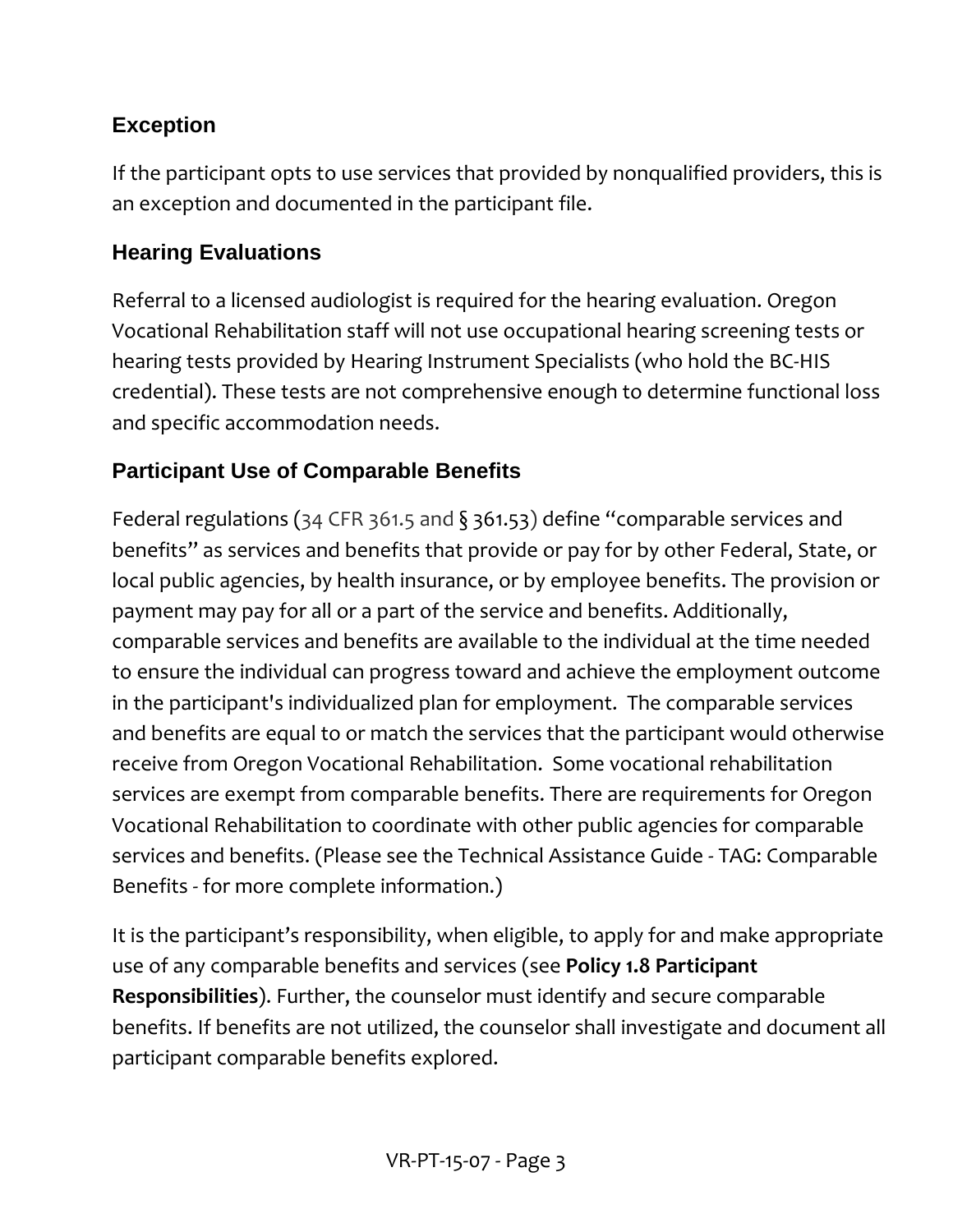# **Exception**

If the participant opts to use services that provided by nonqualified providers, this is an exception and documented in the participant file.

#### **Hearing Evaluations**

Referral to a licensed audiologist is required for the hearing evaluation. Oregon Vocational Rehabilitation staff will not use occupational hearing screening tests or hearing tests provided by Hearing Instrument Specialists (who hold the BC‐HIS credential). These tests are not comprehensive enough to determine functional loss and specific accommodation needs.

# **Participant Use of Comparable Benefits**

Federal regulations (34 CFR 361.5 and § 361.53) define "comparable services and benefits" as services and benefits that provide or pay for by other Federal, State, or local public agencies, by health insurance, or by employee benefits. The provision or payment may pay for all or a part of the service and benefits. Additionally, comparable services and benefits are available to the individual at the time needed to ensure the individual can progress toward and achieve the employment outcome in the participant's individualized plan for employment. The comparable services and benefits are equal to or match the services that the participant would otherwise receive from Oregon Vocational Rehabilitation. Some vocational rehabilitation services are exempt from comparable benefits. There are requirements for Oregon Vocational Rehabilitation to coordinate with other public agencies for comparable services and benefits. (Please see the Technical Assistance Guide ‐ TAG: Comparable Benefits ‐ for more complete information.)

It is the participant's responsibility, when eligible, to apply for and make appropriate use of any comparable benefits and services (see **Policy 1.8 Participant Responsibilities**). Further, the counselor must identify and secure comparable benefits. If benefits are not utilized, the counselor shall investigate and document all participant comparable benefits explored.